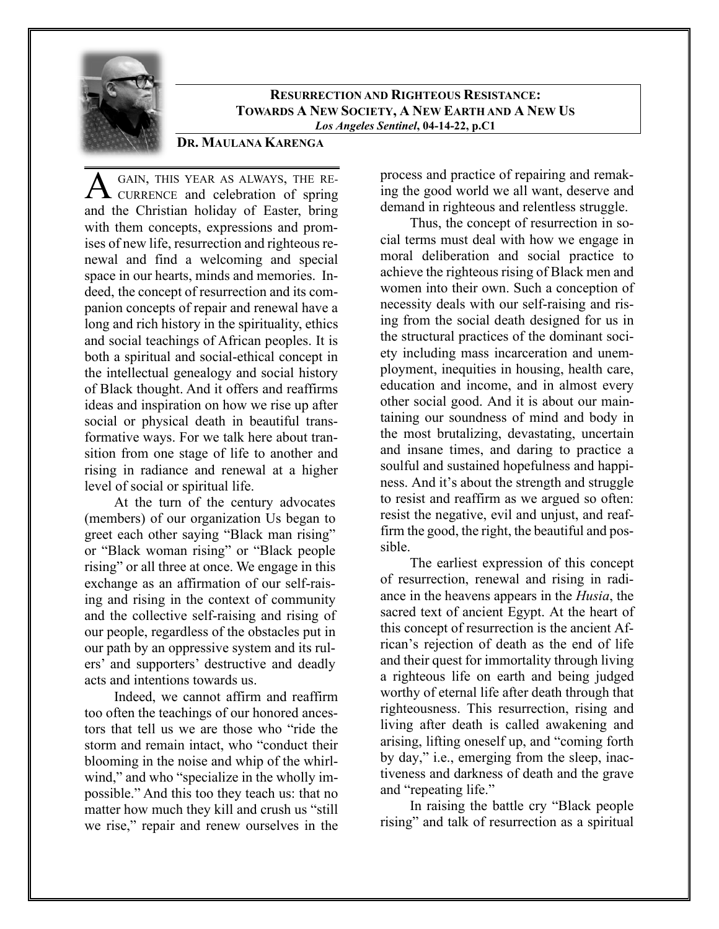

**RESURRECTION AND RIGHTEOUS RESISTANCE: TOWARDS A NEW SOCIETY, A NEW EARTH AND A NEW US** *Los Angeles Sentinel***, 04-14-22, p.C1**

## **DR. MAULANA KARENGA**

GAIN, THIS YEAR AS ALWAYS, THE RE-A GAIN, THIS YEAR AS ALWAYS, THE RECURRENCE and celebration of spring and the Christian holiday of Easter, bring with them concepts, expressions and promises of new life, resurrection and righteous renewal and find a welcoming and special space in our hearts, minds and memories. Indeed, the concept of resurrection and its companion concepts of repair and renewal have a long and rich history in the spirituality, ethics and social teachings of African peoples. It is both a spiritual and social-ethical concept in the intellectual genealogy and social history of Black thought. And it offers and reaffirms ideas and inspiration on how we rise up after social or physical death in beautiful transformative ways. For we talk here about transition from one stage of life to another and rising in radiance and renewal at a higher level of social or spiritual life.

At the turn of the century advocates (members) of our organization Us began to greet each other saying "Black man rising" or "Black woman rising" or "Black people rising" or all three at once. We engage in this exchange as an affirmation of our self-raising and rising in the context of community and the collective self-raising and rising of our people, regardless of the obstacles put in our path by an oppressive system and its rulers' and supporters' destructive and deadly acts and intentions towards us.

Indeed, we cannot affirm and reaffirm too often the teachings of our honored ancestors that tell us we are those who "ride the storm and remain intact, who "conduct their blooming in the noise and whip of the whirlwind," and who "specialize in the wholly impossible." And this too they teach us: that no matter how much they kill and crush us "still we rise," repair and renew ourselves in the

process and practice of repairing and remaking the good world we all want, deserve and demand in righteous and relentless struggle.

Thus, the concept of resurrection in social terms must deal with how we engage in moral deliberation and social practice to achieve the righteous rising of Black men and women into their own. Such a conception of necessity deals with our self-raising and rising from the social death designed for us in the structural practices of the dominant society including mass incarceration and unemployment, inequities in housing, health care, education and income, and in almost every other social good. And it is about our maintaining our soundness of mind and body in the most brutalizing, devastating, uncertain and insane times, and daring to practice a soulful and sustained hopefulness and happiness. And it's about the strength and struggle to resist and reaffirm as we argued so often: resist the negative, evil and unjust, and reaffirm the good, the right, the beautiful and possible.

The earliest expression of this concept of resurrection, renewal and rising in radiance in the heavens appears in the *Husia*, the sacred text of ancient Egypt. At the heart of this concept of resurrection is the ancient African's rejection of death as the end of life and their quest for immortality through living a righteous life on earth and being judged worthy of eternal life after death through that righteousness. This resurrection, rising and living after death is called awakening and arising, lifting oneself up, and "coming forth by day," i.e., emerging from the sleep, inactiveness and darkness of death and the grave and "repeating life."

In raising the battle cry "Black people rising" and talk of resurrection as a spiritual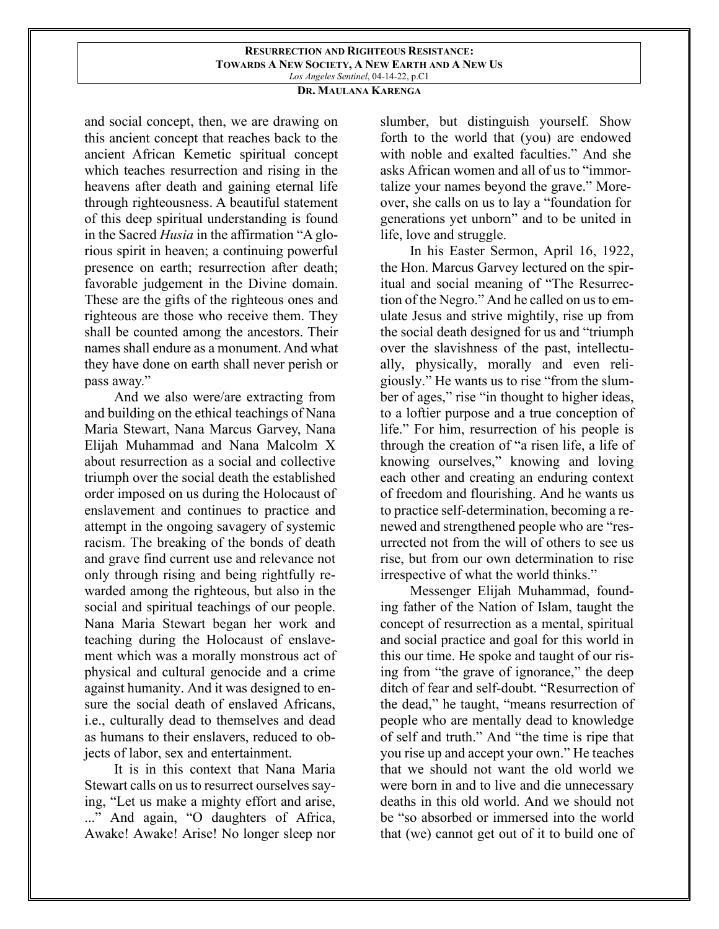## **RESURRECTION AND RIGHTEOUS RESISTANCE: TOWARDS A NEW SOCIETY, A NEW EARTH AND A NEW US** *Los Angeles Sentinel*, 04-14-22, p.C1

## **DR. MAULANA KARENGA**

and social concept, then, we are drawing on this ancient concept that reaches back to the ancient African Kemetic spiritual concept which teaches resurrection and rising in the heavens after death and gaining eternal life through righteousness. A beautiful statement of this deep spiritual understanding is found in the Sacred *Husia* in the affirmation "A glorious spirit in heaven; a continuing powerful presence on earth; resurrection after death; favorable judgement in the Divine domain. These are the gifts of the righteous ones and righteous are those who receive them. They shall be counted among the ancestors. Their names shall endure as a monument. And what they have done on earth shall never perish or pass away."

And we also were/are extracting from and building on the ethical teachings of Nana Maria Stewart, Nana Marcus Garvey, Nana Elijah Muhammad and Nana Malcolm X about resurrection as a social and collective triumph over the social death the established order imposed on us during the Holocaust of enslavement and continues to practice and attempt in the ongoing savagery of systemic racism. The breaking of the bonds of death and grave find current use and relevance not only through rising and being rightfully rewarded among the righteous, but also in the social and spiritual teachings of our people. Nana Maria Stewart began her work and teaching during the Holocaust of enslavement which was a morally monstrous act of physical and cultural genocide and a crime against humanity. And it was designed to ensure the social death of enslaved Africans, i.e., culturally dead to themselves and dead as humans to their enslavers, reduced to objects of labor, sex and entertainment.

It is in this context that Nana Maria Stewart calls on us to resurrect ourselves saying, "Let us make a mighty effort and arise, ..." And again, "O daughters of Africa, Awake! Awake! Arise! No longer sleep nor slumber, but distinguish yourself. Show forth to the world that (you) are endowed with noble and exalted faculties." And she asks African women and all of us to "immortalize your names beyond the grave." Moreover, she calls on us to lay a "foundation for generations yet unborn" and to be united in life, love and struggle.

In his Easter Sermon, April 16, 1922, the Hon. Marcus Garvey lectured on the spiritual and social meaning of "The Resurrection of the Negro." And he called on us to emulate Jesus and strive mightily, rise up from the social death designed for us and "triumph over the slavishness of the past, intellectually, physically, morally and even religiously." He wants us to rise "from the slumber of ages," rise "in thought to higher ideas, to a loftier purpose and a true conception of life." For him, resurrection of his people is through the creation of "a risen life, a life of knowing ourselves," knowing and loving each other and creating an enduring context of freedom and flourishing. And he wants us to practice self-determination, becoming a renewed and strengthened people who are "resurrected not from the will of others to see us rise, but from our own determination to rise irrespective of what the world thinks."

Messenger Elijah Muhammad, founding father of the Nation of Islam, taught the concept of resurrection as a mental, spiritual and social practice and goal for this world in this our time. He spoke and taught of our rising from "the grave of ignorance," the deep ditch of fear and self-doubt. "Resurrection of the dead," he taught, "means resurrection of people who are mentally dead to knowledge of self and truth." And "the time is ripe that you rise up and accept your own." He teaches that we should not want the old world we were born in and to live and die unnecessary deaths in this old world. And we should not be "so absorbed or immersed into the world that (we) cannot get out of it to build one of